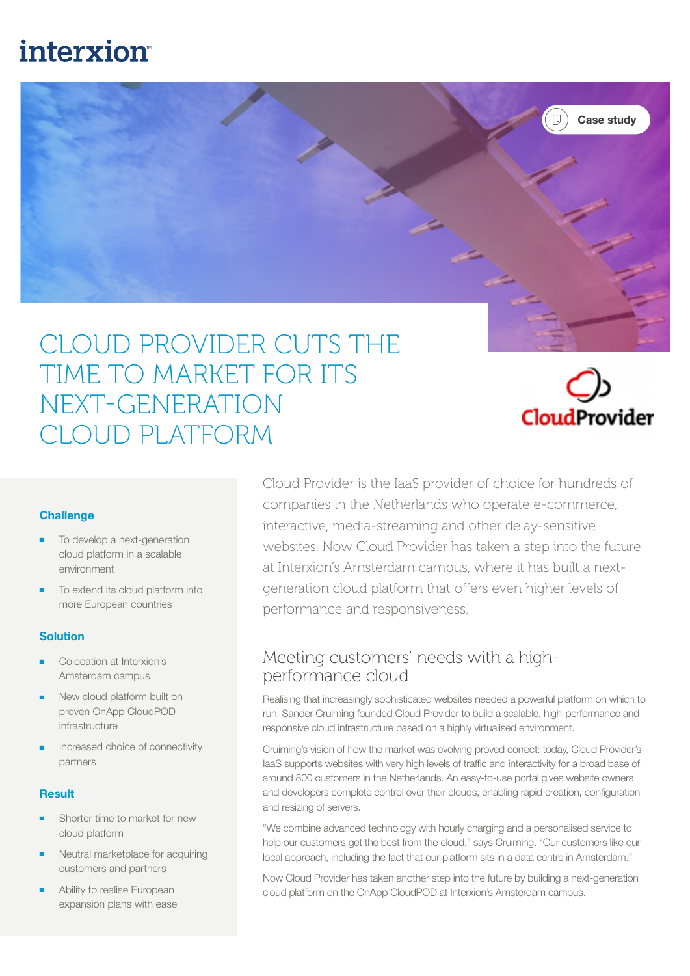# **interxion**



## CLOUD PROVIDER CUTS THE TIME TO MARKET FOR ITS NEXT-GENERATION CLOUD PLATFORM



#### **Challenge**

- To develop a next-generation cloud platform in a scalable environment
- To extend its cloud platform into more European countries

#### Solution

- Colocation at Interxion's Amsterdam campus
- New cloud platform built on proven OnApp CloudPOD infrastructure
- Increased choice of connectivity partners

#### **Result**

- Shorter time to market for new cloud platform
- Neutral marketplace for acquiring customers and partners
- Ability to realise European expansion plans with ease

Cloud Provider is the IaaS provider of choice for hundreds of companies in the Netherlands who operate e-commerce, interactive, media-streaming and other delay-sensitive websites. Now Cloud Provider has taken a step into the future at Interxion's Amsterdam campus, where it has built a nextgeneration cloud platform that offers even higher levels of performance and responsiveness.

#### Meeting customers' needs with a highperformance cloud

Realising that increasingly sophisticated websites needed a powerful platform on which to run, Sander Cruiming founded Cloud Provider to build a scalable, high-performance and responsive cloud infrastructure based on a highly virtualised environment.

Cruiming's vision of how the market was evolving proved correct: today, Cloud Provider's IaaS supports websites with very high levels of traffic and interactivity for a broad base of around 800 customers in the Netherlands. An easy-to-use portal gives website owners and developers complete control over their clouds, enabling rapid creation, configuration and resizing of servers.

"We combine advanced technology with hourly charging and a personalised service to help our customers get the best from the cloud," says Cruiming. "Our customers like our local approach, including the fact that our platform sits in a data centre in Amsterdam."

Now Cloud Provider has taken another step into the future by building a next-generation cloud platform on the OnApp CloudPOD at Interxion's Amsterdam campus.